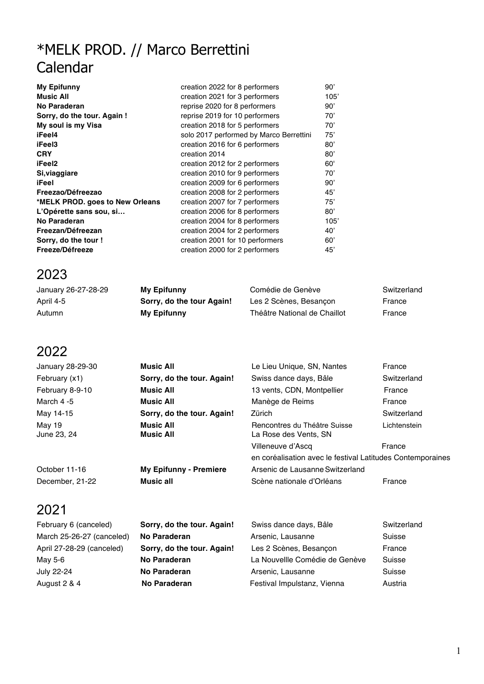# \*MELK PROD. // Marco Berrettini Calendar

| My Epifunny                     | creation 2022 for 8 performers          | 90'  |
|---------------------------------|-----------------------------------------|------|
| <b>Music All</b>                | creation 2021 for 3 performers          | 105' |
| No Paraderan                    | reprise 2020 for 8 performers           | 90'  |
| Sorry, do the tour. Again !     | reprise 2019 for 10 performers          | 70'  |
| My soul is my Visa              | creation 2018 for 5 performers          | 70'  |
| iFeel4                          | solo 2017 performed by Marco Berrettini | 75'  |
| iFeel3                          | creation 2016 for 6 performers          | 80'  |
| <b>CRY</b>                      | creation 2014                           | 80'  |
| iFeel2                          | creation 2012 for 2 performers          | 60'  |
| Si, viaggiare                   | creation 2010 for 9 performers          | 70'  |
| iFeel                           | creation 2009 for 6 performers          | 90'  |
| Freezao/Défreezao               | creation 2008 for 2 performers          | 45'  |
| *MELK PROD. goes to New Orleans | creation 2007 for 7 performers          | 75'  |
| L'Opérette sans sou, si         | creation 2006 for 8 performers          | 80'  |
| No Paraderan                    | creation 2004 for 8 performers          | 105' |
| Freezan/Défreezan               | creation 2004 for 2 performers          | 40'  |
| Sorry, do the tour !            | creation 2001 for 10 performers         | 60'  |
| Freeze/Défreeze                 | creation 2000 for 2 performers          | 45'  |

### 2023

| January 26-27-28-29 | My Epifunny               | Comédie de Genève            | Switzerland |
|---------------------|---------------------------|------------------------------|-------------|
| April 4-5           | Sorry, do the tour Again! | Les 2 Scènes, Besancon       | France      |
| Autumn              | My Epifunny               | Théâtre National de Chaillot | France      |

#### 2022

| January 28-29-30      | <b>Music All</b>                     | Le Lieu Unique, SN, Nantes                                                      | France       |
|-----------------------|--------------------------------------|---------------------------------------------------------------------------------|--------------|
| February (x1)         | Sorry, do the tour. Again!           | Swiss dance days, Bâle                                                          | Switzerland  |
| February 8-9-10       | <b>Music All</b>                     | 13 vents, CDN, Montpellier                                                      | France       |
| March $4-5$           | <b>Music All</b>                     | Manège de Reims                                                                 | France       |
| May 14-15             | Sorry, do the tour. Again!           | Zürich                                                                          | Switzerland  |
| May 19<br>June 23, 24 | <b>Music All</b><br><b>Music All</b> | Rencontres du Théâtre Suisse<br>La Rose des Vents, SN                           | Lichtenstein |
|                       |                                      | Villeneuve d'Ascq<br>en coréalisation avec le festival Latitudes Contemporaines | France       |
| October 11-16         | <b>My Epifunny - Premiere</b>        | Arsenic de Lausanne Switzerland                                                 |              |
| December, 21-22       | <b>Music all</b>                     | Scène nationale d'Orléans                                                       | France       |
| 2021                  |                                      |                                                                                 |              |

| February 6 (canceled)     | Sorry, do the tour. Again! | Swiss dance days, Bâle         | Switzerland |
|---------------------------|----------------------------|--------------------------------|-------------|
| March 25-26-27 (canceled) | <b>No Paraderan</b>        | Arsenic, Lausanne              | Suisse      |
| April 27-28-29 (canceled) | Sorry, do the tour. Again! | Les 2 Scènes, Besançon         | France      |
| May 5-6                   | No Paraderan               | La Nouvellle Comédie de Genève | Suisse      |
| July 22-24                | No Paraderan               | Arsenic, Lausanne              | Suisse      |
| August 2 & 4              | <b>No Paraderan</b>        | Festival Impulstanz, Vienna    | Austria     |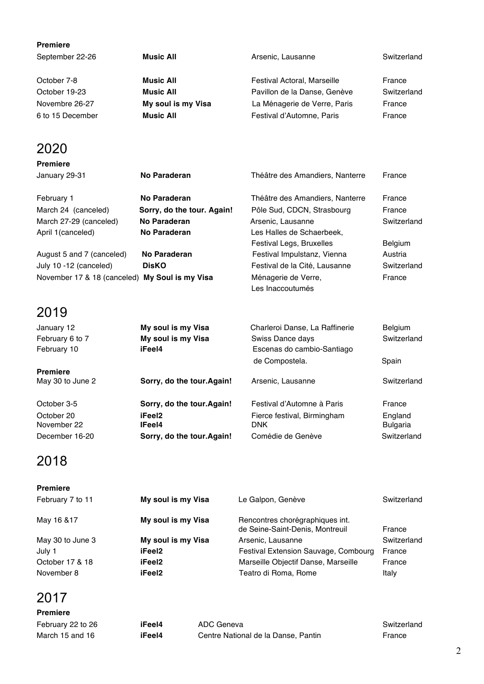| <b>Premiere</b>                                |                            |                                         |                 |
|------------------------------------------------|----------------------------|-----------------------------------------|-----------------|
| September 22-26                                | <b>Music All</b>           | Arsenic, Lausanne                       | Switzerland     |
| October 7-8                                    | <b>Music All</b>           | Festival Actoral, Marseille             | France          |
| October 19-23                                  | <b>Music All</b>           | Pavillon de la Danse, Genève            | Switzerland     |
| Novembre 26-27                                 | My soul is my Visa         | La Ménagerie de Verre, Paris            | France          |
| 6 to 15 December                               | <b>Music All</b>           | Festival d'Automne, Paris               | France          |
| 2020                                           |                            |                                         |                 |
| <b>Premiere</b>                                |                            |                                         |                 |
| January 29-31                                  | <b>No Paraderan</b>        | Théâtre des Amandiers, Nanterre         | France          |
| February 1                                     | No Paraderan               | Théâtre des Amandiers, Nanterre         | France          |
| March 24 (canceled)                            | Sorry, do the tour. Again! | Pôle Sud, CDCN, Strasbourg              | France          |
| March 27-29 (canceled)                         | No Paraderan               | Arsenic, Lausanne                       | Switzerland     |
| April 1(canceled)                              | No Paraderan               | Les Halles de Schaerbeek,               |                 |
|                                                |                            | Festival Legs, Bruxelles                | <b>Belgium</b>  |
| August 5 and 7 (canceled)                      | No Paraderan               | Festival Impulstanz, Vienna             | Austria         |
| July 10 -12 (canceled)                         | <b>DisKO</b>               | Festival de la Cité, Lausanne           | Switzerland     |
| November 17 & 18 (canceled) My Soul is my Visa |                            | Ménagerie de Verre,<br>Les Inaccoutumés | France          |
| 2019                                           |                            |                                         |                 |
| January 12                                     | My soul is my Visa         | Charleroi Danse, La Raffinerie          | Belgium         |
| February 6 to 7                                | My soul is my Visa         | Swiss Dance days                        | Switzerland     |
| February 10                                    | iFeel4                     | Escenas do cambio-Santiago              |                 |
|                                                |                            | de Compostela.                          | Spain           |
| <b>Premiere</b>                                |                            |                                         |                 |
| May 30 to June 2                               | Sorry, do the tour. Again! | Arsenic, Lausanne                       | Switzerland     |
| October 3-5                                    | Sorry, do the tour. Again! | Festival d'Automne à Paris              | France          |
| October 20                                     | iFeel <sub>2</sub>         | Fierce festival, Birmingham             | England         |
| November 22                                    | IFeel4                     | <b>DNK</b>                              | <b>Bulgaria</b> |
| December 16-20                                 | Sorry, do the tour. Again! | Comédie de Genève                       | Switzerland     |
|                                                |                            |                                         |                 |

### 2018

| <b>Premiere</b>  |                    |                                                                    |             |
|------------------|--------------------|--------------------------------------------------------------------|-------------|
| February 7 to 11 | My soul is my Visa | Le Galpon, Genève                                                  | Switzerland |
| May 16 & 17      | My soul is my Visa | Rencontres chorégraphiques int.<br>de Seine-Saint-Denis, Montreuil | France      |
| May 30 to June 3 | My soul is my Visa | Arsenic, Lausanne                                                  | Switzerland |
| July 1           | iFeel2             | Festival Extension Sauvage, Combourg                               | France      |
| October 17 & 18  | iFeel2             | Marseille Objectif Danse, Marseille                                | France      |
| November 8       | iFeel2             | Teatro di Roma, Rome                                               | Italy       |
|                  |                    |                                                                    |             |

| <b>Premiere</b>   |        |                                     |             |
|-------------------|--------|-------------------------------------|-------------|
| February 22 to 26 | iFeel4 | ADC Geneva                          | Switzerland |
| March 15 and 16   | iFeel4 | Centre National de la Danse, Pantin | France      |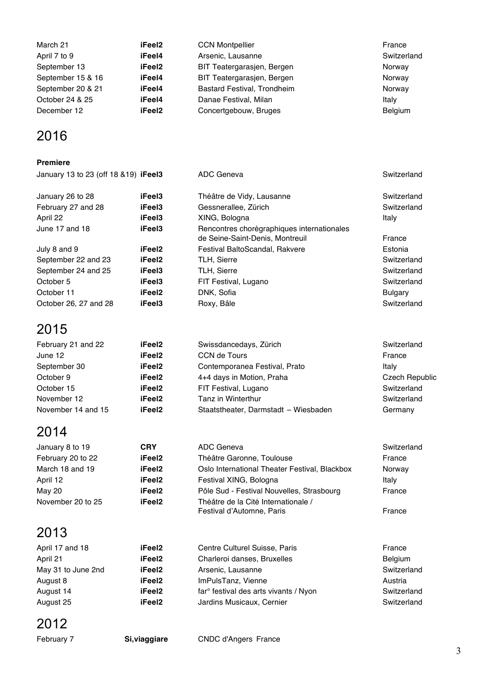| March 21          | iFeel2 | <b>CCN Montpellier</b>             | France         |
|-------------------|--------|------------------------------------|----------------|
| April 7 to 9      | iFeel4 | Arsenic, Lausanne                  | Switzerland    |
| September 13      | iFeel2 | BIT Teatergarasjen, Bergen         | Norway         |
| September 15 & 16 | iFeel4 | BIT Teatergarasjen, Bergen         | Norway         |
| September 20 & 21 | iFeel4 | <b>Bastard Festival, Trondheim</b> | Norway         |
| October 24 & 25   | iFeel4 | Danae Festival, Milan              | Italy          |
| December 12       | iFeel2 | Concertgebouw, Bruges              | <b>Belgium</b> |

### 2016

#### **Premiere**

| January 13 to 23 (off 18 & 19) <b>iFeel3</b> |                    | ADC Geneva                                                                    | Switzerland    |
|----------------------------------------------|--------------------|-------------------------------------------------------------------------------|----------------|
| January 26 to 28                             | iFeel3             | Théâtre de Vidy, Lausanne                                                     | Switzerland    |
| February 27 and 28                           | iFeel3             | Gessnerallee, Zürich                                                          | Switzerland    |
| April 22                                     | iFeel3             | XING, Bologna                                                                 | Italy          |
| June 17 and 18                               | iFeel3             | Rencontres chorégraphiques internationales<br>de Seine-Saint-Denis, Montreuil | France         |
| July 8 and 9                                 | iFeel <sub>2</sub> | Festival BaltoScandal, Rakvere                                                | Estonia        |
| September 22 and 23                          | iFeel <sub>2</sub> | <b>TLH, Sierre</b>                                                            | Switzerland    |
| September 24 and 25                          | iFeel3             | <b>TLH, Sierre</b>                                                            | Switzerland    |
| October 5                                    | iFeel3             | FIT Festival, Lugano                                                          | Switzerland    |
| October 11                                   | iFeel <sub>2</sub> | DNK, Sofia                                                                    | <b>Bulgary</b> |
| October 26, 27 and 28                        | iFeel3             | Roxy, Bâle                                                                    | Switzerland    |

### 2015

| February 21 and 22 | iFeel2 | Swissdancedays, Zürich               | Switzerland           |
|--------------------|--------|--------------------------------------|-----------------------|
| June 12            | iFeel2 | CCN de Tours                         | France                |
| September 30       | iFeel2 | Contemporanea Festival, Prato        | Italv                 |
| October 9          | iFeel2 | 4+4 days in Motion, Praha            | <b>Czech Republic</b> |
| October 15         | iFeel2 | FIT Festival, Lugano                 | Switzerland           |
| November 12        | iFeel2 | Tanz in Winterthur                   | Switzerland           |
| November 14 and 15 | iFeel2 | Staatstheater, Darmstadt - Wiesbaden | Germany               |

### 2014

| January 8 to 19   | <b>CRY</b>         | ADC Geneva                                    | Switzerland |
|-------------------|--------------------|-----------------------------------------------|-------------|
| February 20 to 22 | iFeel2             | Théâtre Garonne, Toulouse                     | France      |
| March 18 and 19   | iFeel2             | Oslo International Theater Festival, Blackbox | Norway      |
| April 12          | iFeel2             | Festival XING, Bologna                        | Italy       |
| May 20            | iFeel <sub>2</sub> | Pôle Sud - Festival Nouvelles, Strasbourg     | France      |
| November 20 to 25 | iFeel <sub>2</sub> | Théâtre de la Cité Internationale /           |             |
|                   |                    | Festival d'Automne, Paris                     | France      |

# 2013

| April 17 and 18    | iFeel2             | Centre Culturel Suisse, Paris                     | France         |
|--------------------|--------------------|---------------------------------------------------|----------------|
| April 21           | iFeel2             | Charleroi danses, Bruxelles                       | <b>Belgium</b> |
| May 31 to June 2nd | iFeel2             | Arsenic, Lausanne                                 | Switzerland    |
| August 8           | iFeel2             | ImPulsTanz, Vienne                                | Austria        |
| August 14          | iFeel <sub>2</sub> | far <sup>o</sup> festival des arts vivants / Nyon | Switzerland    |
| August 25          | iFeel2             | Jardins Musicaux, Cernier                         | Switzerland    |

| February 7 | Si, viaggiare | <b>CNDC d'Angers France</b> |
|------------|---------------|-----------------------------|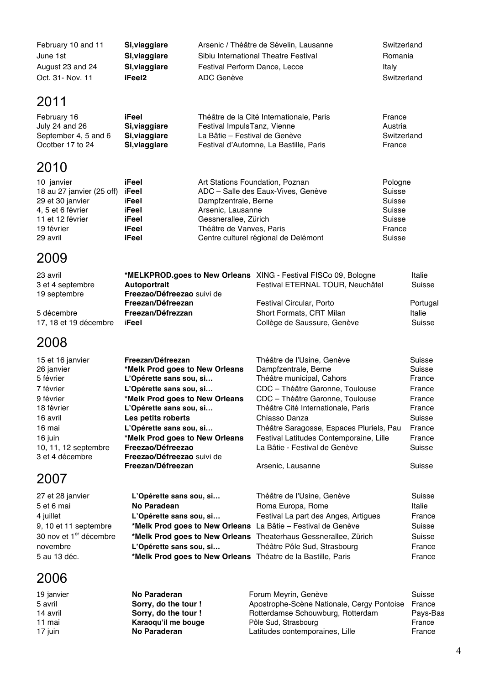| February 10 and 11 | Si, viaggiare | Arsenic / Théâtre de Sévelin, Lausanne | Switzerland |
|--------------------|---------------|----------------------------------------|-------------|
| June 1st           | Si, viaggiare | Sibiu International Theatre Festival   | Romania     |
| August 23 and 24   | Si, viaggiare | Festival Perform Dance, Lecce          | Italv       |
| Oct. 31 - Nov. 11  | iFeel2        | ADC Genève                             | Switzerland |

## 2011

| February 16          | iFeel         | Théâtre de la Cité Internationale, Paris | France      |
|----------------------|---------------|------------------------------------------|-------------|
| July 24 and 26       | Si, viaggiare | Festival ImpulsTanz, Vienne              | Austria     |
| September 4, 5 and 6 | Si, viaggiare | La Bâtie – Festival de Genève            | Switzerland |
| Ocotber 17 to 24     | Si, viaggiare | Festival d'Automne, La Bastille, Paris   | France      |

### 2010

| 10 janvier                | iFeel | Art Stations Foundation, Poznan      | Pologne |
|---------------------------|-------|--------------------------------------|---------|
| 18 au 27 janvier (25 off) | iFeel | ADC - Salle des Eaux-Vives, Genève   | Suisse  |
| 29 et 30 janvier          | iFeel | Dampfzentrale, Berne                 | Suisse  |
| 4, 5 et 6 février         | iFeel | Arsenic, Lausanne                    | Suisse  |
| 11 et 12 février          | iFeel | Gessnerallee, Zürich                 | Suisse  |
| 19 février                | iFeel | Théâtre de Vanves, Paris             | France  |
| 29 avril                  | iFeel | Centre culturel régional de Delémont | Suisse  |

# 2009

| 23 avril              | *MELKPROD.goes to New Orleans XING - Festival FISCo 09, Bologne | Festival ETERNAL TOUR, Neuchâtel | Italie   |
|-----------------------|-----------------------------------------------------------------|----------------------------------|----------|
| 3 et 4 septembre      | Autoportrait                                                    |                                  | Suisse   |
| 19 septembre          | Freezao/Défreezao suivi de<br>Freezan/Défreezan                 | Festival Circular, Porto         | Portugal |
| 5 décembre            | Freezan/Défrezzan                                               | Short Formats, CRT Milan         | Italie   |
| 17, 18 et 19 décembre | iFeel                                                           | Collège de Saussure, Genève      | Suisse   |

### 2008

| 15 et 16 janvier     | Freezan/Défreezan              | Théâtre de l'Usine, Genève               | Suisse |
|----------------------|--------------------------------|------------------------------------------|--------|
| 26 janvier           | *Melk Prod goes to New Orleans | Dampfzentrale, Berne                     | Suisse |
| 5 février            | L'Opérette sans sou, si        | Théâtre municipal, Cahors                | France |
| 7 février            | L'Opérette sans sou, si        | CDC - Théâtre Garonne, Toulouse          | France |
| 9 février            | *Melk Prod goes to New Orleans | CDC - Théâtre Garonne, Toulouse          | France |
| 18 février           | L'Opérette sans sou, si        | Théâtre Cité Internationale, Paris       | France |
| 16 avril             | Les petits roberts             | Chiasso Danza                            | Suisse |
| 16 mai               | L'Opérette sans sou, si        | Théâtre Saragosse, Espaces Pluriels, Pau | France |
| 16 juin              | *Melk Prod goes to New Orleans | Festival Latitudes Contemporaine, Lille  | France |
| 10, 11, 12 septembre | Freezao/Défreezao              | La Bâtie - Festival de Genève            | Suisse |
| 3 et 4 décembre      | Freezao/Défreezao suivi de     |                                          |        |
|                      | Freezan/Défreezan              | Arsenic, Lausanne                        | Suisse |
|                      |                                |                                          |        |

# 2007

| 27 et 28 janvier                   | L'Opérette sans sou, si                                         | Théâtre de l'Usine, Genève           | Suisse |
|------------------------------------|-----------------------------------------------------------------|--------------------------------------|--------|
| 5 et 6 mai                         | No Paradean                                                     | Roma Europa, Rome                    | Italie |
| 4 juillet                          | L'Opérette sans sou, si                                         | Festival La part des Anges, Artigues | France |
| 9, 10 et 11 septembre              | *Melk Prod goes to New Orleans La Bâtie - Festival de Genève    |                                      | Suisse |
| 30 nov et 1 <sup>er</sup> décembre | *Melk Prod goes to New Orleans Theaterhaus Gessnerallee, Zürich |                                      | Suisse |
| novembre                           | L'Opérette sans sou, si                                         | Théâtre Pôle Sud, Strasbourg         | France |
| 5 au 13 déc.                       | *Melk Prod goes to New Orleans Théatre de la Bastille, Paris    |                                      | France |
|                                    |                                                                 |                                      |        |

| 19 janvier | No Paraderan         | Forum Meyrin, Genève                       | Suisse   |
|------------|----------------------|--------------------------------------------|----------|
| 5 avril    | Sorry, do the tour ! | Apostrophe-Scène Nationale, Cergy Pontoise | France   |
| 14 avril   | Sorry, do the tour ! | Rotterdamse Schouwburg, Rotterdam          | Pays-Bas |
| 11 mai     | Karaoqu'il me bouge  | Pôle Sud, Strasbourg                       | France   |
| 17 juin    | No Paraderan         | Latitudes contemporaines, Lille            | France   |
|            |                      |                                            |          |